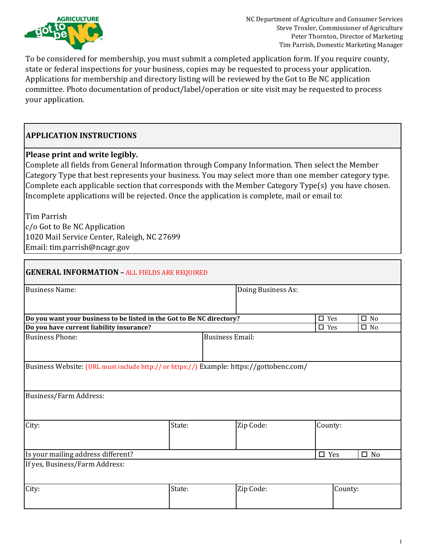

To be considered for membership, you must submit a completed application form. If you require county, state or federal inspections for your business, copies may be requested to process your application. Applications for membership and directory listing will be reviewed by the Got to Be NC application committee. Photo documentation of product/label/operation or site visit may be requested to process your application.

# **APPLICATION INSTRUCTIONS**

# **Please print and write legibly.**

Complete all fields from General Information through Company Information. Then select the Member Category Type that best represents your business. You may select more than one member category type. Complete each applicable section that corresponds with the Member Category Type(s) you have chosen. Incomplete applications will be rejected. Once the application is complete, mail or email to:

Tim Parrish c/o Got to Be NC Application 1020 Mail Service Center, Raleigh, NC 27699 Email: tim.parrish@ncagr.gov

| <b>GENERAL INFORMATION - ALL FIELDS ARE REQUIRED</b>                                     |        |                        |                    |               |         |              |
|------------------------------------------------------------------------------------------|--------|------------------------|--------------------|---------------|---------|--------------|
| <b>Business Name:</b>                                                                    |        |                        | Doing Business As: |               |         |              |
| Do you want your business to be listed in the Got to Be NC directory?                    |        |                        |                    | $\square$ Yes |         | $\square$ No |
| Do you have current liability insurance?                                                 |        |                        |                    | $\square$ Yes |         | $\square$ No |
| <b>Business Phone:</b>                                                                   |        | <b>Business Email:</b> |                    |               |         |              |
| Business Website: (URL must include http:// or https://) Example: https://gottobenc.com/ |        |                        |                    |               |         |              |
| Business/Farm Address:                                                                   |        |                        |                    |               |         |              |
| City:                                                                                    | State: |                        | Zip Code:          | County:       |         |              |
| Is your mailing address different?                                                       |        |                        |                    | $\square$ Yes |         | $\square$ No |
| If yes, Business/Farm Address:                                                           |        |                        |                    |               |         |              |
| City:                                                                                    | State: |                        | Zip Code:          |               | County: |              |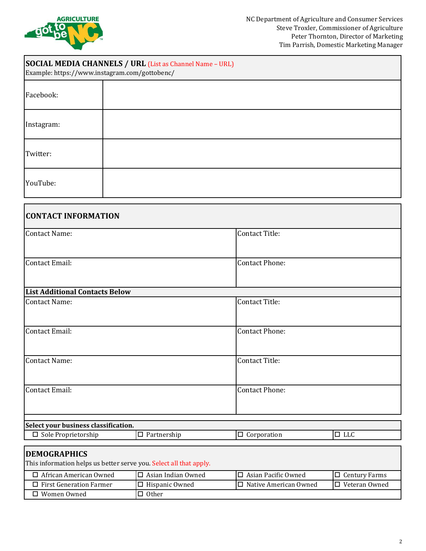

| <b>SOCIAL MEDIA CHANNELS / URL (List as Channel Name - URL)</b><br>Example: https://www.instagram.com/gottobenc/ |  |  |  |  |  |
|------------------------------------------------------------------------------------------------------------------|--|--|--|--|--|
| Facebook:                                                                                                        |  |  |  |  |  |
| Instagram:                                                                                                       |  |  |  |  |  |
| Twitter:                                                                                                         |  |  |  |  |  |
| YouTube:                                                                                                         |  |  |  |  |  |

| <b>CONTACT INFORMATION</b>            |                       |
|---------------------------------------|-----------------------|
| <b>Contact Name:</b>                  | Contact Title:        |
| <b>Contact Email:</b>                 | <b>Contact Phone:</b> |
|                                       |                       |
| <b>List Additional Contacts Below</b> |                       |
| <b>Contact Name:</b>                  | Contact Title:        |
|                                       |                       |
| Contact Email:                        | <b>Contact Phone:</b> |
|                                       |                       |
| <b>Contact Name:</b>                  | Contact Title:        |
|                                       |                       |
| Contact Email:                        | <b>Contact Phone:</b> |
|                                       |                       |
| Cologt usuu kugungga glaggifigation   |                       |

| Select your business classification. |             |             |    |  |  |  |
|--------------------------------------|-------------|-------------|----|--|--|--|
| l Sole Proprietorship                | Partnership | Corporation | uu |  |  |  |
|                                      |             |             |    |  |  |  |
| <b>INFMOCDADHICS</b>                 |             |             |    |  |  |  |

### **DEMOGRAPHICS**

This information helps us better serve you. Select all that apply.

| African American Owned         | l-Asian Indian Owned- | $\Box$ Asian Pacific Owned | $\Box$ Century Farms |
|--------------------------------|-----------------------|----------------------------|----------------------|
| $\Box$ First Generation Farmer | l Hispanic Owned      | I□ Native American Owned   | I□ Veteran Owned     |
| Women Owned                    | Other                 |                            |                      |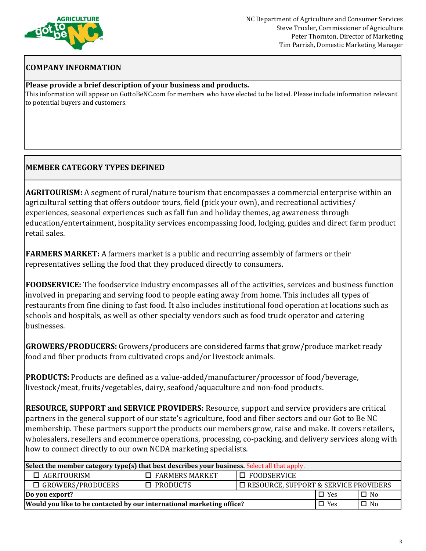

# **COMPANY INFORMATION**

### **Please provide a brief description of your business and products.**

This information will appear on GottoBeNC.com for members who have elected to be listed. Please include information relevant to potential buyers and customers.

# **MEMBER CATEGORY TYPES DEFINED**

**AGRITOURISM:** A segment of rural/nature tourism that encompasses a commercial enterprise within an agricultural setting that offers outdoor tours, field (pick your own), and recreational activities/ experiences, seasonal experiences such as fall fun and holiday themes, ag awareness through education/entertainment, hospitality services encompassing food, lodging, guides and direct farm product retail sales.

**FARMERS MARKET:** A farmers market is a public and recurring assembly of farmers or their representatives selling the food that they produced directly to consumers.

**FOODSERVICE:** The foodservice industry encompasses all of the activities, services and business function involved in preparing and serving food to people eating away from home. This includes all types of restaurants from fine dining to fast food. It also includes institutional food operation at locations such as schools and hospitals, as well as other specialty vendors such as food truck operator and catering businesses.

**GROWERS/PRODUCERS:** Growers/producers are considered farms that grow/produce market ready food and fiber products from cultivated crops and/or livestock animals.

**PRODUCTS:** Products are defined as a value-added/manufacturer/processor of food/beverage, livestock/meat, fruits/vegetables, dairy, seafood/aquaculture and non-food products.

**RESOURCE, SUPPORT and SERVICE PROVIDERS:** Resource, support and service providers are critical partners in the general support of our state's agriculture, food and fiber sectors and our Got to Be NC membership. These partners support the products our members grow, raise and make. It covers retailers, wholesalers, resellers and ecommerce operations, processing, co-packing, and delivery services along with how to connect directly to our own NCDA marketing specialists.

| Select the member category type(s) that best describes your business. Select all that apply. |                       |                                              |            |           |  |  |  |
|----------------------------------------------------------------------------------------------|-----------------------|----------------------------------------------|------------|-----------|--|--|--|
| $\Box$ AGRITOURISM                                                                           | $\Box$ FARMERS MARKET | $\Box$ FOODSERVICE                           |            |           |  |  |  |
| $\square$ GROWERS/PRODUCERS                                                                  | $\square$ PRODUCTS    | $\Box$ RESOURCE, SUPPORT & SERVICE PROVIDERS |            |           |  |  |  |
| $\Box$ No<br>$\Box$ Yes<br>Do you export?                                                    |                       |                                              |            |           |  |  |  |
| Would you like to be contacted by our international marketing office?                        |                       |                                              | $\Box$ Yes | $\Box$ No |  |  |  |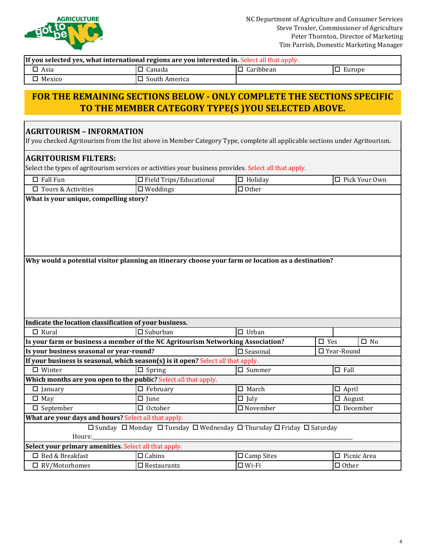

7

| If you selected yes, what international regions are you interested in. Select all that apply.                                                                   |                                                                                                    |                      |                               |  |  |  |  |
|-----------------------------------------------------------------------------------------------------------------------------------------------------------------|----------------------------------------------------------------------------------------------------|----------------------|-------------------------------|--|--|--|--|
| $\Box$ Asia                                                                                                                                                     | $\Box$ Canada                                                                                      | $\Box$ Caribbean     | $\square$ Europe              |  |  |  |  |
| $\Box$ Mexico                                                                                                                                                   | $\square$ South America                                                                            |                      |                               |  |  |  |  |
| FOR THE REMAINING SECTIONS BELOW - ONLY COMPLETE THE SECTIONS SPECIFIC<br>TO THE MEMBER CATEGORY TYPE(S) YOU SELECTED ABOVE.                                    |                                                                                                    |                      |                               |  |  |  |  |
| <b>AGRITOURISM - INFORMATION</b><br>If you checked Agritourism from the list above in Member Category Type, complete all applicable sections under Agritourism. |                                                                                                    |                      |                               |  |  |  |  |
| <b>AGRITOURISM FILTERS:</b><br>Select the types of agritourism services or activities your business provides. Select all that apply.                            |                                                                                                    |                      |                               |  |  |  |  |
| $\Box$ Fall Fun                                                                                                                                                 | $\Box$ Field Trips/Educational                                                                     | $\Box$ Holiday       | □ Pick Your Own               |  |  |  |  |
| $\square$ Tours & Activities                                                                                                                                    | $\square$ Weddings                                                                                 | $\Box$ Other         |                               |  |  |  |  |
|                                                                                                                                                                 | Why would a potential visitor planning an itinerary choose your farm or location as a destination? |                      |                               |  |  |  |  |
| Indicate the location classification of your business.                                                                                                          |                                                                                                    |                      |                               |  |  |  |  |
| $\Box$ Rural                                                                                                                                                    | $\square$ Suburban                                                                                 | $\Box$ Urban         |                               |  |  |  |  |
| Is your farm or business a member of the NC Agritourism Networking Association?                                                                                 |                                                                                                    |                      | $\square$ Yes<br>$\square$ No |  |  |  |  |
| Is your business seasonal or year-round?                                                                                                                        |                                                                                                    | $\square$ Seasonal   | □ Year-Round                  |  |  |  |  |
| If your business is seasonal, which season(s) is it open? Select all that apply.                                                                                |                                                                                                    |                      |                               |  |  |  |  |
| $\Box$ Winter                                                                                                                                                   | $\boxed{\Box}$ Spring                                                                              | $\Box$ Summer        | $\Box$ Fall                   |  |  |  |  |
| Which months are you open to the public? Select all that apply.                                                                                                 |                                                                                                    |                      |                               |  |  |  |  |
| $\Box$ January                                                                                                                                                  | $\Box$ February                                                                                    | $\Box$ March         | $\Box$ April                  |  |  |  |  |
| $\Box$ May                                                                                                                                                      | $\square$ June                                                                                     | $\Box$ July          | $\Box$ August                 |  |  |  |  |
| $\square$ September                                                                                                                                             | $\Box$ October                                                                                     | $\Box$ November      | $\Box$ December               |  |  |  |  |
| What are your days and hours? Select all that apply.                                                                                                            |                                                                                                    |                      |                               |  |  |  |  |
| Hours:                                                                                                                                                          | □ Sunday □ Monday □ Tuesday □ Wednesday □ Thursday □ Friday □ Saturday                             |                      |                               |  |  |  |  |
| Select your primary amenities. Select all that apply.                                                                                                           |                                                                                                    |                      |                               |  |  |  |  |
| □ Bed & Breakfast                                                                                                                                               | $\Box$ Cabins                                                                                      | $\square$ Camp Sites | $\Box$ Picnic Area            |  |  |  |  |
| $\Box$ RV/Motorhomes                                                                                                                                            | $\square$ Restaurants                                                                              | $\Box$ Wi-Fi         | $\Box$ Other                  |  |  |  |  |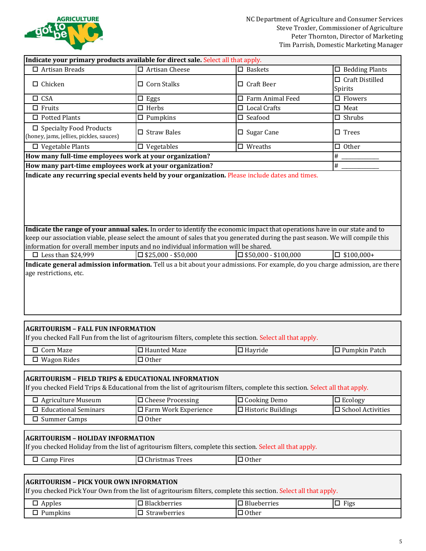

|                                                                                                                                                                                                                                                              | Indicate your primary products available for direct sale. Select all that apply.                                                                       |                                |                                   |  |  |  |
|--------------------------------------------------------------------------------------------------------------------------------------------------------------------------------------------------------------------------------------------------------------|--------------------------------------------------------------------------------------------------------------------------------------------------------|--------------------------------|-----------------------------------|--|--|--|
| $\Box$ Artisan Breads                                                                                                                                                                                                                                        | $\overline{\Box}$ Artisan Cheese                                                                                                                       | $\square$ Baskets              | $\Box$ Bedding Plants             |  |  |  |
| $\Box$ Chicken                                                                                                                                                                                                                                               | □ Corn Stalks                                                                                                                                          | $\Box$ Craft Beer              | $\Box$ Craft Distilled<br>Spirits |  |  |  |
| $\square$ CSA                                                                                                                                                                                                                                                | Eggs<br>□                                                                                                                                              | $\Box$ Farm Animal Feed        | $\square$ Flowers                 |  |  |  |
| $\Box$ Fruits                                                                                                                                                                                                                                                | $\Box$ Herbs                                                                                                                                           | $\Box$ Local Crafts            | $\Box$ Meat                       |  |  |  |
| $\Box$ Potted Plants                                                                                                                                                                                                                                         | $\square$ Pumpkins                                                                                                                                     | $\square$ Seafood              | $\Box$ Shrubs                     |  |  |  |
| $\square$ Specialty Food Products<br>(honey, jams, jellies, pickles, sauces)                                                                                                                                                                                 | $\Box$ Straw Bales                                                                                                                                     | $\square$ Sugar Cane           | $\square$ Trees                   |  |  |  |
| $\Box$ Vegetable Plants                                                                                                                                                                                                                                      | $\square$ Vegetables                                                                                                                                   | $\square$ Wreaths              | $\Box$ Other                      |  |  |  |
| How many full-time employees work at your organization?                                                                                                                                                                                                      |                                                                                                                                                        |                                | $\#$                              |  |  |  |
| How many part-time employees work at your organization?                                                                                                                                                                                                      |                                                                                                                                                        |                                | $\#$                              |  |  |  |
| Indicate the range of your annual sales. In order to identify the economic impact that operations have in our state and to<br>keep our association viable, please select the amount of sales that you generated during the past season. We will compile this |                                                                                                                                                        |                                |                                   |  |  |  |
| information for overall member inputs and no individual information will be shared.                                                                                                                                                                          |                                                                                                                                                        |                                |                                   |  |  |  |
| $\Box$ Less than \$24,999                                                                                                                                                                                                                                    | $\square$ \$25,000 - \$50,000                                                                                                                          | $\square$ \$50,000 - \$100,000 | $\Box$ \$100,000+                 |  |  |  |
| age restrictions, etc.                                                                                                                                                                                                                                       |                                                                                                                                                        |                                |                                   |  |  |  |
|                                                                                                                                                                                                                                                              |                                                                                                                                                        |                                |                                   |  |  |  |
| <b>AGRITOURISM - FALL FUN INFORMATION</b><br>If you checked Fall Fun from the list of agritourism filters, complete this section. Select all that apply.                                                                                                     |                                                                                                                                                        |                                |                                   |  |  |  |
| □ Corn Maze                                                                                                                                                                                                                                                  | □ Haunted Maze                                                                                                                                         | $\Box$ Hayride                 | $\square$ Pumpkin Patch           |  |  |  |
| $\Box$ Wagon Rides                                                                                                                                                                                                                                           | $\Box$ Other                                                                                                                                           |                                |                                   |  |  |  |
| <b>AGRITOURISM - FIELD TRIPS &amp; EDUCATIONAL INFORMATION</b><br>If you checked Field Trips & Educational from the list of agritourism filters, complete this section. Select all that apply.                                                               |                                                                                                                                                        |                                |                                   |  |  |  |
| $\Box$ Agriculture Museum                                                                                                                                                                                                                                    | $\Box$ Cheese Processing                                                                                                                               | $\Box$ Cooking Demo            | $\Box$ Ecology                    |  |  |  |
| $\Box$ Educational Seminars                                                                                                                                                                                                                                  | □ Farm Work Experience                                                                                                                                 | $\Box$ Historic Buildings      | □ School Activities               |  |  |  |
| $\square$ Summer Camps                                                                                                                                                                                                                                       | $\Box$ Other                                                                                                                                           |                                |                                   |  |  |  |
|                                                                                                                                                                                                                                                              |                                                                                                                                                        |                                |                                   |  |  |  |
|                                                                                                                                                                                                                                                              | <b>AGRITOURISM - HOLIDAY INFORMATION</b><br>If you checked Holiday from the list of agritourism filters, complete this section. Select all that apply. |                                |                                   |  |  |  |
| $\Box$ Camp Fires                                                                                                                                                                                                                                            | $\hfill\Box$<br>Christmas Trees                                                                                                                        | $\Box$ Other                   |                                   |  |  |  |
|                                                                                                                                                                                                                                                              |                                                                                                                                                        |                                |                                   |  |  |  |

# **AGRITOURISM – PICK YOUR OWN INFORMATION**

If you checked Pick Your Own from the list of agritourism filters, complete this section. Select all that apply.

| Apples<br>ー        | $\overline{\phantom{a}}$<br><b>Blackberries</b><br>. ت | -<br>eberries   | <b>TI.</b><br>_<br>Figs<br>- |
|--------------------|--------------------------------------------------------|-----------------|------------------------------|
| npkins<br>--<br>__ | $\sim$<br>_<br>wberries<br>.                           | $\sim$<br>Uther |                              |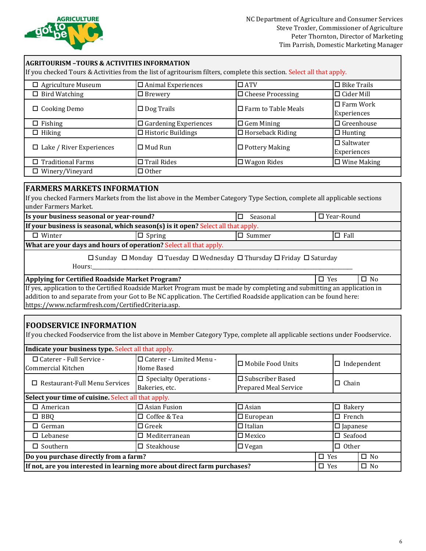

| <b>AGRITOURISM -TOURS &amp; ACTIVITIES INFORMATION</b><br>If you checked Tours & Activities from the list of agritourism filters, complete this section. Select all that apply. |                              |                               |                                 |  |  |  |  |
|---------------------------------------------------------------------------------------------------------------------------------------------------------------------------------|------------------------------|-------------------------------|---------------------------------|--|--|--|--|
| <b>Agriculture Museum</b><br>□                                                                                                                                                  | $\Box$ Animal Experiences    | $\Box$ ATV                    | $\Box$ Bike Trails              |  |  |  |  |
| <b>Bird Watching</b><br>П.                                                                                                                                                      | $\Box$ Brewery               | $\Box$ Cheese Processing      | $\Box$ Cider Mill               |  |  |  |  |
| $\Box$ Cooking Demo                                                                                                                                                             | $\Box$ Dog Trails            | $\square$ Farm to Table Meals | $\Box$ Farm Work<br>Experiences |  |  |  |  |
| $\Box$ Fishing                                                                                                                                                                  | $\Box$ Gardening Experiences | $\Box$ Gem Mining             | $\Box$ Greenhouse               |  |  |  |  |
| $\Box$ Hiking                                                                                                                                                                   | $\Box$ Historic Buildings    | $\Box$ Horseback Riding       | $\Box$ Hunting                  |  |  |  |  |
| $\Box$ Lake / River Experiences                                                                                                                                                 | $\Box$ Mud Run               | $\Box$ Pottery Making         | $\Box$ Saltwater<br>Experiences |  |  |  |  |
| $\Box$ Traditional Farms                                                                                                                                                        | $\Box$ Trail Rides           | $\Box$ Wagon Rides            | $\Box$ Wine Making              |  |  |  |  |
| $\Box$ Other<br>$\Box$ Winery/Vineyard                                                                                                                                          |                              |                               |                                 |  |  |  |  |
|                                                                                                                                                                                 |                              |                               |                                 |  |  |  |  |

## **FARMERS MARKETS INFORMATION**

If you checked Farmers Markets from the list above in the Member Category Type Section, complete all applicable sections under Farmers Market.

| Is your business seasonal or year-round?                                                                            |                                                                   | ப | Seasonal |  | $\square$ Year-Round |  |
|---------------------------------------------------------------------------------------------------------------------|-------------------------------------------------------------------|---|----------|--|----------------------|--|
| If your business is seasonal, which season(s) is it open? Select all that apply.                                    |                                                                   |   |          |  |                      |  |
| $\Box$ Winter<br>$\Box$ Fall<br>$\Box$ Spring<br>$\Box$ Summer                                                      |                                                                   |   |          |  |                      |  |
|                                                                                                                     | What are your days and hours of operation? Select all that apply. |   |          |  |                      |  |
| $\Box$ Sunday $\Box$ Monday $\Box$ Tuesday $\Box$ Wednesday $\Box$ Thursday $\Box$ Friday $\Box$ Saturday<br>Hours: |                                                                   |   |          |  |                      |  |

#### **Applying for Certified Roadside Market Program?** o Yes o No

If yes, application to the Certified Roadside Market Program must be made by completing and submitting an application in addition to and separate from your Got to Be NC application. The Certified Roadside application can be found here: https://www.ncfarmfresh.com/CertifiedCriteria.asp.

# **FOODSERVICE INFORMATION**

If you checked Foodservice from the list above in Member Category Type, complete all applicable sections under Foodservice.

| Indicate your business type. Select all that apply.                                                 |                                                    |                                                                         |               |                    |              |  |
|-----------------------------------------------------------------------------------------------------|----------------------------------------------------|-------------------------------------------------------------------------|---------------|--------------------|--------------|--|
| $\Box$ Caterer - Full Service -<br>Commercial Kitchen                                               | □ Caterer - Limited Menu -<br>Home Based           | I□ Mobile Food Units                                                    |               | $\Box$ Independent |              |  |
| $\Box$ Restaurant-Full Menu Services                                                                | $\square$ Specialty Operations -<br>Bakeries, etc. | $\Box$ Subscriber Based<br>$\Box$ Chain<br><b>Prepared Meal Service</b> |               |                    |              |  |
| Select your time of cuisine. Select all that apply.                                                 |                                                    |                                                                         |               |                    |              |  |
| $\Box$ American                                                                                     | $\Box$ Asian Fusion                                | $\square$ Asian<br>$\square$ Bakery                                     |               |                    |              |  |
| $\Box$ BBQ                                                                                          | $\Box$ Coffee & Tea                                | $\square$ French<br>$\Box$ European                                     |               |                    |              |  |
| $\Box$ German                                                                                       | $\Box$ Greek                                       | $\Box$ Italian<br>$\square$ Japanese                                    |               |                    |              |  |
| $\Box$ Lebanese                                                                                     | $\Box$ Mediterranean                               | $\square$ Seafood<br>$\Box$ Mexico                                      |               |                    |              |  |
| $\Box$ Southern                                                                                     | Steakhouse<br>$\Box$ Other<br>∣□ Vegan<br>□        |                                                                         |               |                    |              |  |
| Do you purchase directly from a farm?                                                               |                                                    |                                                                         | $\square$ Yes |                    | $\square$ No |  |
| If not, are you interested in learning more about direct farm purchases?<br>$\Box$ No<br>$\Box$ Yes |                                                    |                                                                         |               |                    |              |  |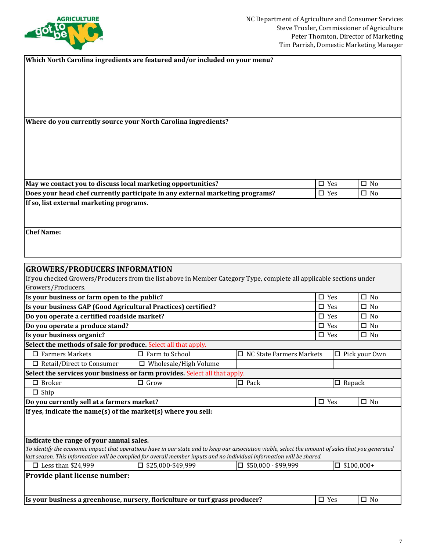

| Which North Carolina ingredients are featured and/or included on your menu?                                          |               |              |
|----------------------------------------------------------------------------------------------------------------------|---------------|--------------|
|                                                                                                                      |               |              |
|                                                                                                                      |               |              |
|                                                                                                                      |               |              |
|                                                                                                                      |               |              |
|                                                                                                                      |               |              |
| Where do you currently source your North Carolina ingredients?                                                       |               |              |
|                                                                                                                      |               |              |
|                                                                                                                      |               |              |
|                                                                                                                      |               |              |
|                                                                                                                      |               |              |
|                                                                                                                      |               |              |
| May we contact you to discuss local marketing opportunities?                                                         | $\square$ Yes | $\square$ No |
| Does your head chef currently participate in any external marketing programs?                                        | $\square$ Yes | $\Box$ No    |
| If so, list external marketing programs.                                                                             |               |              |
|                                                                                                                      |               |              |
|                                                                                                                      |               |              |
| <b>Chef Name:</b>                                                                                                    |               |              |
|                                                                                                                      |               |              |
|                                                                                                                      |               |              |
| <b>GROWERS/PRODUCERS INFORMATION</b>                                                                                 |               |              |
|                                                                                                                      |               |              |
| If you checked Growers/Producers from the list above in Member Category Type, complete all applicable sections under |               |              |
| Growers/Producers.                                                                                                   |               |              |
| Is your business or farm open to the public?                                                                         | $\square$ Yes | $\square$ No |
| Is your business GAP (Good Agricultural Practices) certified?                                                        | $\Box$ Yes    | $\square$ No |

| is your business of farm open to the public:                                                                                                                                                                                                                                  |                              |                                 | ലാട           |                   | ∟ ⊓                  |
|-------------------------------------------------------------------------------------------------------------------------------------------------------------------------------------------------------------------------------------------------------------------------------|------------------------------|---------------------------------|---------------|-------------------|----------------------|
| Is your business GAP (Good Agricultural Practices) certified?                                                                                                                                                                                                                 |                              |                                 |               | $\square$ Yes     | $\square$ No         |
| Do you operate a certified roadside market?                                                                                                                                                                                                                                   |                              |                                 | $\square$ Yes |                   | $\square$ No         |
| Do you operate a produce stand?                                                                                                                                                                                                                                               |                              |                                 | $\square$ Yes |                   | $\square$ No         |
| Is your business organic?                                                                                                                                                                                                                                                     |                              |                                 | $\square$ Yes |                   | $\square$ No         |
| Select the methods of sale for produce. Select all that apply.                                                                                                                                                                                                                |                              |                                 |               |                   |                      |
| $\Box$ Farmers Markets                                                                                                                                                                                                                                                        | $\Box$ Farm to School        | $\Box$ NC State Farmers Markets |               |                   | $\Box$ Pick your Own |
| $\Box$ Retail/Direct to Consumer                                                                                                                                                                                                                                              | $\Box$ Wholesale/High Volume |                                 |               |                   |                      |
| Select the services your business or farm provides. Select all that apply.                                                                                                                                                                                                    |                              |                                 |               |                   |                      |
| $\Box$ Broker                                                                                                                                                                                                                                                                 | $\Box$ Grow                  | $\Box$ Pack                     |               | $\Box$ Repack     |                      |
| $\Box$ Ship                                                                                                                                                                                                                                                                   |                              |                                 |               |                   |                      |
| Do you currently sell at a farmers market?                                                                                                                                                                                                                                    |                              |                                 | $\square$ Yes |                   | $\square$ No         |
| If yes, indicate the name(s) of the market(s) where you sell:                                                                                                                                                                                                                 |                              |                                 |               |                   |                      |
| Indicate the range of your annual sales.                                                                                                                                                                                                                                      |                              |                                 |               |                   |                      |
| To identify the economic impact that operations have in our state and to keep our association viable, select the amount of sales that you generated<br>last season. This information will be compiled for overall member inputs and no individual information will be shared. |                              |                                 |               |                   |                      |
| $\Box$ Less than \$24,999                                                                                                                                                                                                                                                     | $\square$ \$25,000-\$49,999  | $\square$ \$50,000 - \$99,999   |               | $\Box$ \$100,000+ |                      |
| Provide plant license number:                                                                                                                                                                                                                                                 |                              |                                 |               |                   |                      |
| Is your business a greenhouse, nursery, floriculture or turf grass producer?                                                                                                                                                                                                  |                              |                                 | $\square$ Yes |                   | $\square$ No         |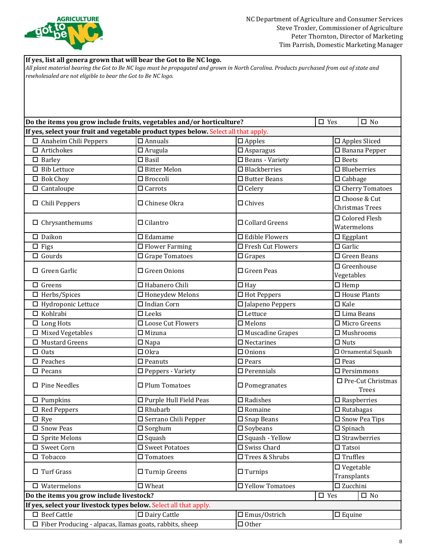

**If yes, list all genera grown that will bear the Got to Be NC logo.** 

 $\Box$  Other  $\Box$  Mustard Greens  $\Box$  Napa  $\Box$  Nectarines  $\Box$  Nuts  $\Box$  Bib Lettuce  $\Box$  Bitter Melon  $\Box$  Blackberries  $\Box$  Blueberries  $\Box$  Bok Choy  $\Box$  Broccoli  $\Box$  Butter Beans  $\Box$  Cabbage  $\Box$  Cantaloupe  $\Box$  Carrots  $\Box$  Celery  $\Box$  Cherry Tomatoes  $\Box$  Chrysanthemums  $\Box$  Cilantro  $\Box$  Collard Greens  $\Box$  Colored Flesh Watermelons o Daikon o Edamame o Edible Flowers o Eggplant *All plant material bearing the Got to Be NC logo must be propagated and grown in North Carolina. Products purchased from out of state and rewholesaled are not eligible to bear the Got to Be NC logo.* **Do the items you grow include fruits, vegetables and/or horticulture?** △ Yes O No **If yes, select your fruit and vegetable product types below.** Select all that apply. o Anaheim Chili Peppers o Annuals o Apples o Apples Sliced  $\Box$  Artichokes  $\Box$  Arugula  $\Box$  Asparagus  $\Box$  Banana Pepper  $\Box$  Chili Peppers  $\Box$  Chinese Okra  $\Box$  Chives  $\Box$  Chives  $\Box$  Choose & Cut Christmas Trees  $\Box$  Barley  $\Box$  Basil  $\Box$  Beans - Variety  $\Box$  Beets  $\Box$  Greens  $\Box$  Habanero Chili  $\Box$  Hav  $\Box$  Hemp  $\Box$  Hydroponic Lettuce  $\Box$  Indian Corn  $\Box$  Jalapeno Peppers  $\Box$  Kale o Figs o Flower Farming o Fresh Cut Flowers o Garlic  $\Box$  Gourds  $\Box$  Grape Tomatoes  $\Box$  Grapes  $\Box$  Green Beans  $\Box$  Green Garlic  $\Box$  Green Onions  $\Box$  Green Peas  $\Box$  Greenhouse Vegetables  $\Box$  Loose Cut Flowers  $\Box$  Melons  $\Box$  Micro Greens  $\Box$  Mixed Vegetables  $\Box$  Mizuna  $\Box$  Muscadine Grapes  $\Box$  Mushrooms  $\Box$  Herbs/Spices  $\Box$  Honeydew Melons  $\Box$  Hot Peppers  $\Box$  House Plants  $\square$  Sweet Potatoes  $\Box$  Sprite Melons  $\Box$  Squash  $\Box$  Squash  $\Box$  Squash - Yellow  $\Box$  Oats  $\Box$  Okra  $\Box$  Onions  $\Box$  Ornamental Squash  $\square$  Swiss Chard  $\square$  Tatsoi o Tobacco o Tomatoes o Trees & Shrubs o Truffles  $\Box$  Beef Cattle  $\Box$  Dairy Cattle  $\Box$  Emus/Ostrich  $\Box$  Equine **Do the items you grow include livestock? O Yes**  $\Box$  Yes  $\Box$  No  $\Box$  Kohlrabi  $\Box$  Leeks **If yes, select your livestock types below.** Select all that apply. <sup>o</sup> Turf Grass <sup>o</sup> Turnip Greens <sup>o</sup> Turnips <sup>o</sup> Vegetable Transplants o Watermelons o Wheat o Yellow Tomatoes o Zucchini  $\Box$  Lettuce  $\Box$  Lima Beans  $\Box$  Long Hots  $\Box$  Pumpkins  $\Box$  Purple Hull Field Peas  $\Box$  Radishes  $\Box$  Raspberries  $\Box$  Rye  $\Box$  Serrano Chili Pepper  $\Box$  Snap Beans  $\Box$  Snow Pea Tips  $\square$  Snow Peas o Red Peppers o Rhubarb o Romaine o Rutabagas  $\Box$  Fiber Producing - alpacas, llamas goats, rabbits, sheep  $\Box$  Peaches  $\Box$  Peanuts  $\square$  Strawberries  $\square$  Sweet Corn  $\Box$  Sorghum  $\Box$  Soybeans  $\Box$  Spinach  $\square$  Pears  $\square$  Peas  $\Box$  Pecans  $\Box$  Peppers - Variety  $\Box$  Perennials  $\Box$  Persimmons O Pine Needles 
→ D Plum Tomatoes 
→ D Pomegranates 
→ D Pre-Cut Christmas Trees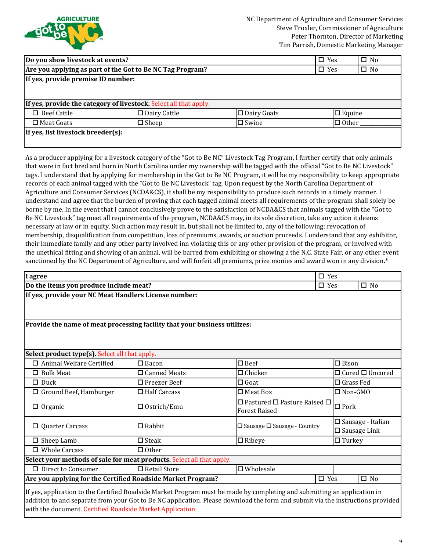

| Do you show livestock at events?                          |                                                                   |                    | $\square$ Yes | $\square$ No |
|-----------------------------------------------------------|-------------------------------------------------------------------|--------------------|---------------|--------------|
| Are you applying as part of the Got to Be NC Tag Program? |                                                                   |                    | $\square$ Yes | $\square$ No |
| If yes, provide premise ID number:                        |                                                                   |                    |               |              |
|                                                           |                                                                   |                    |               |              |
|                                                           | If yes, provide the category of livestock. Select all that apply. |                    |               |              |
| $\Box$ Beef Cattle                                        | $\square$ Dairy Cattle                                            | $\Box$ Dairy Goats | $\Box$ Equine |              |
| $\Box$ Meat Goats                                         | $\Box$ Sheep                                                      | $\Box$ Swine       | $\Box$ Other  |              |
| If yes, list livestock breeder(s):                        |                                                                   |                    |               |              |
|                                                           |                                                                   |                    |               |              |

As a producer applying for a livestock category of the "Got to Be NC" Livestock Tag Program, I further certify that only animals that were in fact bred and born in North Carolina under my ownership will be tagged with the official "Got to Be NC Livestock" tags. I understand that by applying for membership in the Got to Be NC Program, it will be my responsibility to keep appropriate records of each animal tagged with the "Got to Be NC Livestock" tag. Upon request by the North Carolina Department of Agriculture and Consumer Services (NCDA&CS), it shall be my responsibility to produce such records in a timely manner. I understand and agree that the burden of proving that each tagged animal meets all requirements of the program shall solely be borne by me. In the event that I cannot conclusively prove to the satisfaction of NCDA&CS that animals tagged with the "Got to Be NC Livestock" tag meet all requirements of the program, NCDA&CS may, in its sole discretion, take any action it deems necessary at law or in equity. Such action may result in, but shall not be limited to, any of the following: revocation of membership, disqualification from competition, loss of premiums, awards, or auction proceeds. I understand that any exhibitor, their immediate family and any other party involved inn violating this or any other provision of the program, or involved with the unethical fitting and showing of an animal, will be barred from exhibiting or showing a the N.C. State Fair, or any other event sanctioned by the NC Department of Agriculture, and will forfeit all premiums, prize monies and award won in any division.\*

| I agree                                                                                                                                                                                                                                                    |                                                                                              | $\Box$ Yes                                                                    |                   |                                                       |  |
|------------------------------------------------------------------------------------------------------------------------------------------------------------------------------------------------------------------------------------------------------------|----------------------------------------------------------------------------------------------|-------------------------------------------------------------------------------|-------------------|-------------------------------------------------------|--|
| Do the items you produce include meat?                                                                                                                                                                                                                     |                                                                                              |                                                                               | $\square$ Yes     | $\square$ No                                          |  |
| If yes, provide your NC Meat Handlers License number:                                                                                                                                                                                                      |                                                                                              |                                                                               |                   |                                                       |  |
| Provide the name of meat processing facility that your business utilizes:                                                                                                                                                                                  |                                                                                              |                                                                               |                   |                                                       |  |
| Select product type(s). Select all that apply.                                                                                                                                                                                                             |                                                                                              |                                                                               |                   |                                                       |  |
| □ Animal Welfare Certified                                                                                                                                                                                                                                 | $\square$ Bacon                                                                              | $\square$ Beef                                                                | $\square$ Bison   |                                                       |  |
| $\Box$ Bulk Meat                                                                                                                                                                                                                                           | $\Box$ Canned Meats                                                                          | $\Box$ Chicken                                                                |                   | $\Box$ Cured $\Box$ Uncured                           |  |
| $\Box$ Duck                                                                                                                                                                                                                                                | $\square$ Freezer Beef                                                                       | $\Box$ Goat                                                                   | $\Box$ Grass Fed  |                                                       |  |
| $\Box$ Ground Beef, Hamburger                                                                                                                                                                                                                              | $\Box$ Half Carcass                                                                          | $\Box$ Meat Box                                                               | $\square$ Non-GMO |                                                       |  |
| $\Box$ Organic                                                                                                                                                                                                                                             | $\square$ Ostrich/Emu                                                                        | $\square$ Pastured $\square$ Pasture Raised $\square$<br><b>Forest Raised</b> | $\Box$<br>Pork    |                                                       |  |
| $\Box$ Quarter Carcass                                                                                                                                                                                                                                     | $\square$ Rabbit                                                                             | □ Sausage □ Sausage - Country                                                 |                   | $\square$ Sausage - Italian<br>$\square$ Sausage Link |  |
| $\square$ Sheep Lamb                                                                                                                                                                                                                                       | $\square$ Steak                                                                              | $\Box$ Ribeye                                                                 | $\Box$ Turkey     |                                                       |  |
| $\Box$ Whole Carcass                                                                                                                                                                                                                                       | $\Box$ Other                                                                                 |                                                                               |                   |                                                       |  |
| Select your methods of sale for meat products. Select all that apply.                                                                                                                                                                                      |                                                                                              |                                                                               |                   |                                                       |  |
| □ Direct to Consumer                                                                                                                                                                                                                                       | □ Retail Store                                                                               | $\square$ Wholesale                                                           |                   |                                                       |  |
|                                                                                                                                                                                                                                                            | Are you applying for the Certified Roadside Market Program?<br>$\square$ Yes<br>$\square$ No |                                                                               |                   |                                                       |  |
| If yes, application to the Certified Roadside Market Program must be made by completing and submitting an application in<br>addition to and separate from your Got to Be NC application. Please download the form and submit via the instructions provided |                                                                                              |                                                                               |                   |                                                       |  |

with the document. [Certified Roadside Market Application](https://www.ncfarmfresh.com/Roadsidemarket_membership_application.pdf)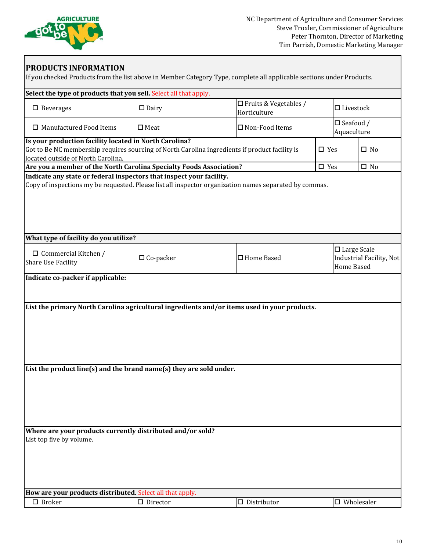

| Select the type of products that you sell. Select all that apply.                                                                                                                              |                    |                                                                                              |               |                                                                               |
|------------------------------------------------------------------------------------------------------------------------------------------------------------------------------------------------|--------------------|----------------------------------------------------------------------------------------------|---------------|-------------------------------------------------------------------------------|
| $\square$ Beverages                                                                                                                                                                            | $\square$ Dairy    | □ Fruits & Vegetables /<br>Horticulture                                                      |               | $\Box$ Livestock                                                              |
| $\Box$ Manufactured Food Items                                                                                                                                                                 | $\square$ Meat     | $\square$ Non-Food Items                                                                     |               | $\square$ Seafood /<br>Aquaculture                                            |
| Is your production facility located in North Carolina?<br>Got to Be NC membership requires sourcing of North Carolina ingredients if product facility is<br>located outside of North Carolina. |                    |                                                                                              | $\square$ Yes | $\square$ No                                                                  |
| Are you a member of the North Carolina Specialty Foods Association?<br>Indicate any state or federal inspectors that inspect your facility.                                                    |                    |                                                                                              | $\square$ Yes | $\square$ No                                                                  |
|                                                                                                                                                                                                |                    |                                                                                              |               |                                                                               |
| What type of facility do you utilize?                                                                                                                                                          |                    |                                                                                              |               |                                                                               |
| $\Box$ Commercial Kitchen /<br>Share Use Facility                                                                                                                                              | $\Box$ Co-packer   | □ Home Based                                                                                 |               | $\square$ Large Scale<br><b>Industrial Facility, Not</b><br><b>Home Based</b> |
|                                                                                                                                                                                                |                    | List the primary North Carolina agricultural ingredients and/or items used in your products. |               |                                                                               |
| List the product line(s) and the brand name(s) they are sold under.                                                                                                                            |                    |                                                                                              |               |                                                                               |
| Where are your products currently distributed and/or sold?<br>List top five by volume.                                                                                                         |                    |                                                                                              |               |                                                                               |
| How are your products distributed. Select all that apply.                                                                                                                                      |                    |                                                                                              |               |                                                                               |
| $\square$ Broker                                                                                                                                                                               | $\square$ Director | $\square$ Distributor                                                                        |               | $\square$ Wholesaler                                                          |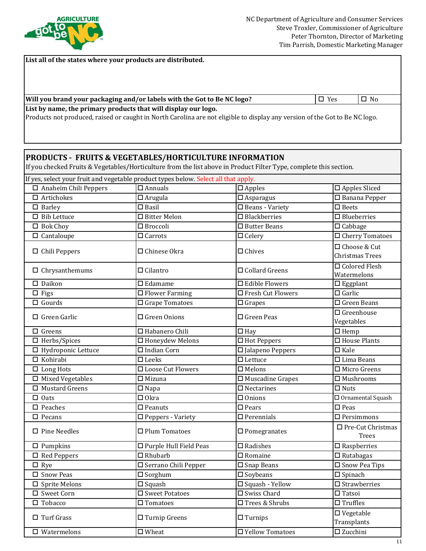

**List all of the states where your products are distributed.** 

### **Will you brand your packaging and/or labels with the Got to Be NC logo?** △ No No No No No No No No No No No No No

**List by name, the primary products that will display our logo.** 

Products not produced, raised or caught in North Carolina are not eligible to display any version of the Got to Be NC logo.

## **PRODUCTS - FRUITS & VEGETABLES/HORTICULTURE INFORMATION**

If you checked Fruits & Vegetables/Horticulture from the list above in Product Filter Type, complete this section.

| If yes, select your fruit and vegetable product types below. Select all that apply. |                                   |                                   |                                             |
|-------------------------------------------------------------------------------------|-----------------------------------|-----------------------------------|---------------------------------------------|
| $\Box$ Anaheim Chili Peppers                                                        | $\overline{\Box}$ Annuals         | $\square$ Apples                  | $\square$ Apples Sliced                     |
| $\Box$ Artichokes                                                                   | $\Box$ Arugula                    | $\overline{\Box}$ Asparagus       | $\overline{\Box}$ Banana Pepper             |
| $\square$ Barley                                                                    | $\Box$ Basil                      | $\overline{\Box}$ Beans - Variety | $\square$ Beets                             |
| $\Box$ Bib Lettuce                                                                  | $\overline{\Box}$ Bitter Melon    | $\square$ Blackberries            | $\overline{\Box}$ Blueberries               |
| $\Box$ Bok Choy                                                                     | $\Box$ Broccoli                   | $\square$ Butter Beans            | $\square$ Cabbage                           |
| $\Box$ Cantaloupe                                                                   | $\Box$ Carrots                    | $\Box$ Celery                     | $\Box$ Cherry Tomatoes                      |
| $\Box$ Chili Peppers                                                                | □ Chinese Okra                    | $\Box$ Chives                     | □ Choose & Cut<br>Christmas Trees           |
| $\Box$ Chrysanthemums                                                               | $\Box$ Cilantro                   | $\Box$ Collard Greens             | □ Colored Flesh<br>Watermelons              |
| $\square$ Daikon                                                                    | $\square$ Edamame                 | $\Box$ Edible Flowers             | $\square$ Eggplant                          |
| $\Box$ Figs                                                                         | $\overline{\Box}$ Flower Farming  | □ Fresh Cut Flowers               | $\Box$ Garlic                               |
| $\Box$ Gourds                                                                       | □ Grape Tomatoes                  | $\Box$ Grapes                     | $\overline{\Box}$ Green Beans               |
| $\Box$ Green Garlic                                                                 | $\Box$ Green Onions               | $\Box$ Green Peas                 | $\Box$ Greenhouse<br>Vegetables             |
| $\Box$ Greens                                                                       | □ Habanero Chili                  | $\Box$ Hay                        | $\Box$ Hemp                                 |
| $\Box$ Herbs/Spices                                                                 | $\overline{\Box}$ Honeydew Melons | $\Box$ Hot Peppers                | $\Box$ House Plants                         |
| $\Box$ Hydroponic Lettuce                                                           | $\Box$ Indian Corn                | □ Jalapeno Peppers                | $\Box$ Kale                                 |
| $\Box$ Kohirabi                                                                     | $\square$ Leeks                   | $\Box$ Lettuce                    | $\Box$ Lima Beans                           |
| $\Box$ Long Hots                                                                    | □ Loose Cut Flowers               | $\square$ Melons                  | $\Box$ Micro Greens                         |
| $\overline{\Box}$ Mixed Vegetables                                                  | $\Box$ Mizuna                     | $\square$ Muscadine Grapes        | $\overline{\Box}$ Mushrooms                 |
| $\Box$ Mustard Greens                                                               | $\square$ Napa                    | $\square$ Nectarines              | $\overline{\Box}$ Nuts                      |
| $\Box$ Oats                                                                         | $\Box$ Okra                       | $\Box$ Onions                     | □ Ornamental Squash                         |
| $\Box$ Peaches                                                                      | $\square$ Peanuts                 | $\square$ Pears                   | $\square$ Peas                              |
| $\Box$ Pecans                                                                       | $\square$ Peppers - Variety       | $\square$ Perennials              | $\square$ Persimmons                        |
| $\Box$ Pine Needles                                                                 | $\Box$ Plum Tomatoes              | $\square$ Pomegranates            | $\square$ Pre-Cut Christmas<br><b>Trees</b> |
| $\square$ Pumpkins                                                                  | □ Purple Hull Field Peas          | $\square$ Radishes                | $\square$ Raspberries                       |
| $\Box$ Red Peppers                                                                  | $\Box$ Rhubarb                    | $\square$ Romaine                 | $\square$ Rutabagas                         |
| $\Box$ Rye                                                                          | □ Serrano Chili Pepper            | $\square$ Snap Beans              | $\overline{\Box}$ Snow Pea Tips             |
| $\square$ Snow Peas                                                                 | $\Box$ Sorghum                    | $\square$ Soybeans                | $\Box$ Spinach                              |
| $\square$ Sprite Melons                                                             | $\square$ Squash                  | $\square$ Squash - Yellow         | $\square$ Strawberries                      |
| □ Sweet Corn                                                                        | □ Sweet Potatoes                  | $\square$ Swiss Chard             | $\square$ Tatsoi                            |
| $\square$ Tobacco                                                                   | $\square$ Tomatoes                | □ Trees & Shrubs                  | $\Box$ Truffles                             |
| $\Box$ Turf Grass                                                                   | $\Box$ Turnip Greens              | $\Box$ Turnips                    | $\square$ Vegetable<br>Transplants          |
| $\square$ Watermelons                                                               | $\square$ Wheat                   | □ Yellow Tomatoes                 | □ Zucchini                                  |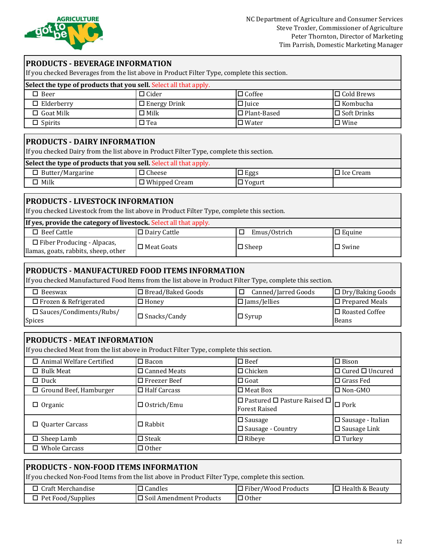

### **PRODUCTS - BEVERAGE INFORMATION**

If you checked Beverages from the list above in Product Filter Type, complete this section.

| Select the type of products that you sell. Select all that apply. |                     |                    |                    |  |
|-------------------------------------------------------------------|---------------------|--------------------|--------------------|--|
| $\square$ Beer                                                    | $\Box$ Cider        | $\Box$ Coffee      | $\Box$ Cold Brews  |  |
| $\Box$ Elderberry                                                 | $\Box$ Energy Drink | $\Box$ Juice       | l□ Kombucha        |  |
| $\Box$ Goat Milk                                                  | $\Box$ Milk         | $\Box$ Plant-Based | $\Box$ Soft Drinks |  |
| $\square$ Spirits                                                 | □ Tea               | $\Box$ Water       | $\Box$ Wine        |  |

### **PRODUCTS - DAIRY INFORMATION**

If you checked Dairy from the list above in Product Filter Type, complete this section.

| Select the type of products that you sell. Select all that apply. |                      |                   |                  |  |  |
|-------------------------------------------------------------------|----------------------|-------------------|------------------|--|--|
| $\Box$ Butter/Margarine                                           | $\Box$ Cheese        | Eggs <sup>1</sup> | $\Box$ Ice Cream |  |  |
| $\Box$ Milk                                                       | $\Box$ Whipped Cream | $\Box$ Yogurt     |                  |  |  |

### **PRODUCTS - LIVESTOCK INFORMATION**

If you checked Livestock from the list above in Product Filter Type, complete this section.

| If yes, provide the category of livestock. Select all that apply.         |                     |              |               |  |
|---------------------------------------------------------------------------|---------------------|--------------|---------------|--|
| $\Box$ Beef Cattle                                                        | $\Box$ Dairy Cattle | Emus/Ostrich | $\Box$ Equine |  |
| $\Box$ Fiber Producing - Alpacas,<br>llamas, goats, rabbits, sheep, other | $\Box$ Meat Goats   | $\Box$ Sheep | $\Box$ Swine  |  |

### **PRODUCTS - MANUFACTURED FOOD ITEMS INFORMATION**

If you checked Manufactured Food Items from the list above in Product Filter Type, complete this section.

| Beeswax                                     | $\Box$ Bread/Baked Goods | Canned/Jarred Goods | $\Box$ Dry/Baking Goods        |
|---------------------------------------------|--------------------------|---------------------|--------------------------------|
| $\Box$ Frozen & Refrigerated                | $\Box$ Honey             | $\Box$ Jams/Jellies | $\Box$ Prepared Meals          |
| $\square$ Sauces/Condiments/Rubs/<br>Spices | $\square$ Snacks/Candy   | $\Box$ Syrup        | $\Box$ Roasted Coffee<br>Beans |

### **PRODUCTS - MEAT INFORMATION**

If you checked Meat from the list above in Product Filter Type, complete this section.

| $\Box$ Animal Welfare Certified | $\Box$ Bacon           | $\square$ Beef                                                                   | $I\Box$ Bison                                      |
|---------------------------------|------------------------|----------------------------------------------------------------------------------|----------------------------------------------------|
| $\Box$ Bulk Meat                | $\square$ Canned Meats | $\Box$ Chicken                                                                   | $\Box$ Cured $\Box$ Uncured                        |
| $\Box$ Duck                     | $\Box$ Freezer Beef    | $\Box$ Goat                                                                      | l□ Grass Fed                                       |
| $\Box$ Ground Beef, Hamburger   | $\Box$ Half Carcass    | $\Box$ Meat Box                                                                  | I□ Non-GMO                                         |
| $\Box$ Organic                  | $\Box$ Ostrich/Emu     | $\boxed{\Box$ Pastured $\Box$ Pasture Raised $\Box$ Pork<br><b>Forest Raised</b> |                                                    |
| $\Box$ Quarter Carcass          | $\Box$ Rabbit          | $\Box$ Sausage<br>$\Box$ Sausage - Country                                       | $\Box$ Sausage - Italian<br>$\square$ Sausage Link |
| $\Box$ Sheep Lamb               | $\square$ Steak        | $\Box$ Ribeye                                                                    | $\Box$ Turkey                                      |
| $\Box$ Whole Carcass            | $\Box$ Other           |                                                                                  |                                                    |

### **PRODUCTS - NON-FOOD ITEMS INFORMATION**

If you checked Non-Food Items from the list above in Product Filter Type, complete this section.

| Craft Merchandise | Candles                                      | l Fiber/Wood Products | $\Box$ Health & Beauty |
|-------------------|----------------------------------------------|-----------------------|------------------------|
| Pet Food/Supplies | $\Box$ Soil $\Delta$<br>l Amendment Products | ' Other               |                        |